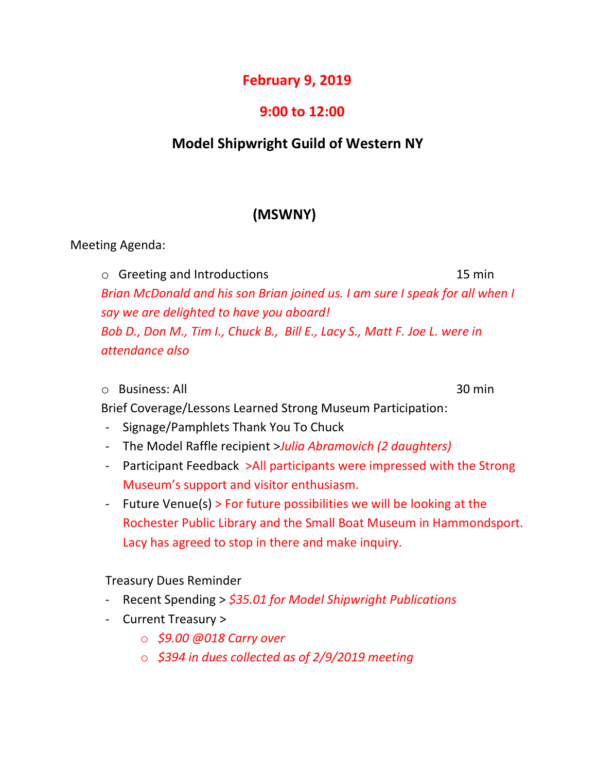## **February 9, 2019**

## **9:00 to 12:00**

# **Model Shipwright Guild of Western NY**

# **(MSWNY)**

Meeting Agenda:

o Greeting and Introductions 15 min *Brian McDonald and his son Brian joined us. I am sure I speak for all when I say we are delighted to have you aboard! Bob D., Don M., Tim I., Chuck B., Bill E., Lacy S., Matt F. Joe L. were in attendance also*

#### $\circ$  Business: All  $\circ$  30 min

Brief Coverage/Lessons Learned Strong Museum Participation:

- Signage/Pamphlets Thank You To Chuck
- The Model Raffle recipient >*Julia Abramovich (2 daughters)*
- Participant Feedback >All participants were impressed with the Strong Museum's support and visitor enthusiasm.
- Future Venue(s) > For future possibilities we will be looking at the Rochester Public Library and the Small Boat Museum in Hammondsport. Lacy has agreed to stop in there and make inquiry.

### Treasury Dues Reminder

- Recent Spending > *\$35.01 for Model Shipwright Publications*
- Current Treasury >
	- o *\$9.00 @018 Carry over*
	- o *\$394 in dues collected as of 2/9/2019 meeting*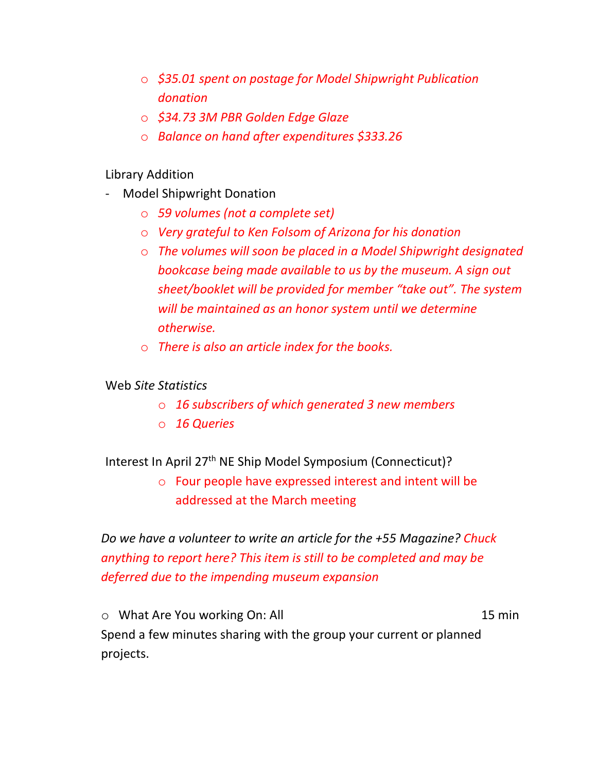- o *\$35.01 spent on postage for Model Shipwright Publication donation*
- o *\$34.73 3M PBR Golden Edge Glaze*
- o *Balance on hand after expenditures \$333.26*

#### Library Addition

- Model Shipwright Donation
	- o *59 volumes (not a complete set)*
	- o *Very grateful to Ken Folsom of Arizona for his donation*
	- o *The volumes will soon be placed in a Model Shipwright designated bookcase being made available to us by the museum. A sign out sheet/booklet will be provided for member "take out". The system will be maintained as an honor system until we determine otherwise.*
	- o *There is also an article index for the books.*

#### Web *Site Statistics*

- o *16 subscribers of which generated 3 new members*
- o *16 Queries*

### Interest In April 27<sup>th</sup> NE Ship Model Symposium (Connecticut)?

o Four people have expressed interest and intent will be addressed at the March meeting

*Do we have a volunteer to write an article for the +55 Magazine? Chuck anything to report here? This item is still to be completed and may be deferred due to the impending museum expansion*

o What Are You working On: All 15 min Spend a few minutes sharing with the group your current or planned projects.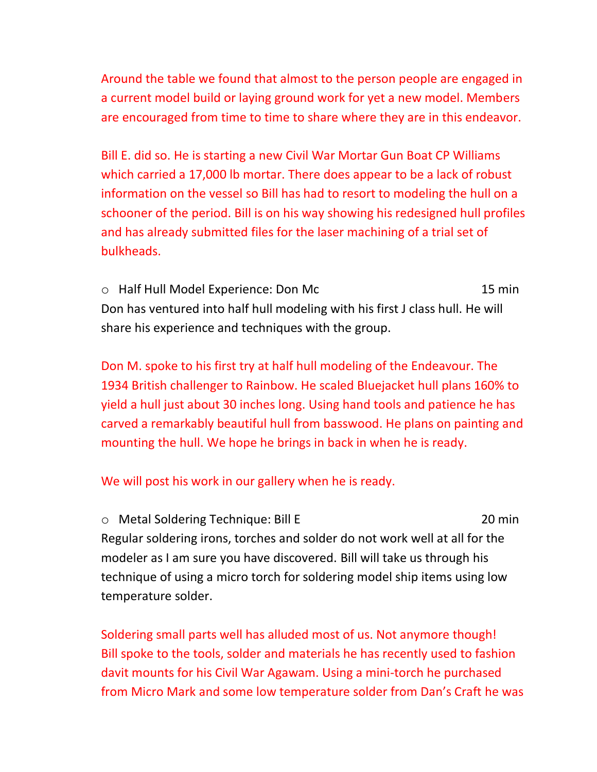Around the table we found that almost to the person people are engaged in a current model build or laying ground work for yet a new model. Members are encouraged from time to time to share where they are in this endeavor.

Bill E. did so. He is starting a new Civil War Mortar Gun Boat CP Williams which carried a 17,000 lb mortar. There does appear to be a lack of robust information on the vessel so Bill has had to resort to modeling the hull on a schooner of the period. Bill is on his way showing his redesigned hull profiles and has already submitted files for the laser machining of a trial set of bulkheads.

o Half Hull Model Experience: Don Mc 15 min Don has ventured into half hull modeling with his first J class hull. He will share his experience and techniques with the group.

Don M. spoke to his first try at half hull modeling of the Endeavour. The 1934 British challenger to Rainbow. He scaled Bluejacket hull plans 160% to yield a hull just about 30 inches long. Using hand tools and patience he has carved a remarkably beautiful hull from basswood. He plans on painting and mounting the hull. We hope he brings in back in when he is ready.

We will post his work in our gallery when he is ready.

o Metal Soldering Technique: Bill E 20 min Regular soldering irons, torches and solder do not work well at all for the modeler as I am sure you have discovered. Bill will take us through his technique of using a micro torch for soldering model ship items using low temperature solder.

Soldering small parts well has alluded most of us. Not anymore though! Bill spoke to the tools, solder and materials he has recently used to fashion davit mounts for his Civil War Agawam. Using a mini-torch he purchased from Micro Mark and some low temperature solder from Dan's Craft he was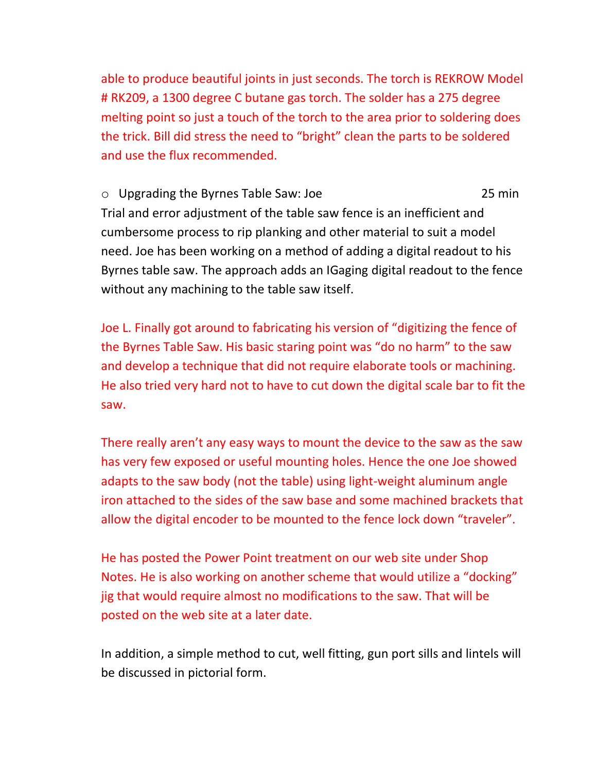able to produce beautiful joints in just seconds. The torch is REKROW Model # RK209, a 1300 degree C butane gas torch. The solder has a 275 degree melting point so just a touch of the torch to the area prior to soldering does the trick. Bill did stress the need to "bright" clean the parts to be soldered and use the flux recommended.

o Upgrading the Byrnes Table Saw: Joe 25 min Trial and error adjustment of the table saw fence is an inefficient and cumbersome process to rip planking and other material to suit a model need. Joe has been working on a method of adding a digital readout to his Byrnes table saw. The approach adds an IGaging digital readout to the fence without any machining to the table saw itself.

Joe L. Finally got around to fabricating his version of "digitizing the fence of the Byrnes Table Saw. His basic staring point was "do no harm" to the saw and develop a technique that did not require elaborate tools or machining. He also tried very hard not to have to cut down the digital scale bar to fit the saw.

There really aren't any easy ways to mount the device to the saw as the saw has very few exposed or useful mounting holes. Hence the one Joe showed adapts to the saw body (not the table) using light-weight aluminum angle iron attached to the sides of the saw base and some machined brackets that allow the digital encoder to be mounted to the fence lock down "traveler".

He has posted the Power Point treatment on our web site under Shop Notes. He is also working on another scheme that would utilize a "docking" jig that would require almost no modifications to the saw. That will be posted on the web site at a later date.

In addition, a simple method to cut, well fitting, gun port sills and lintels will be discussed in pictorial form.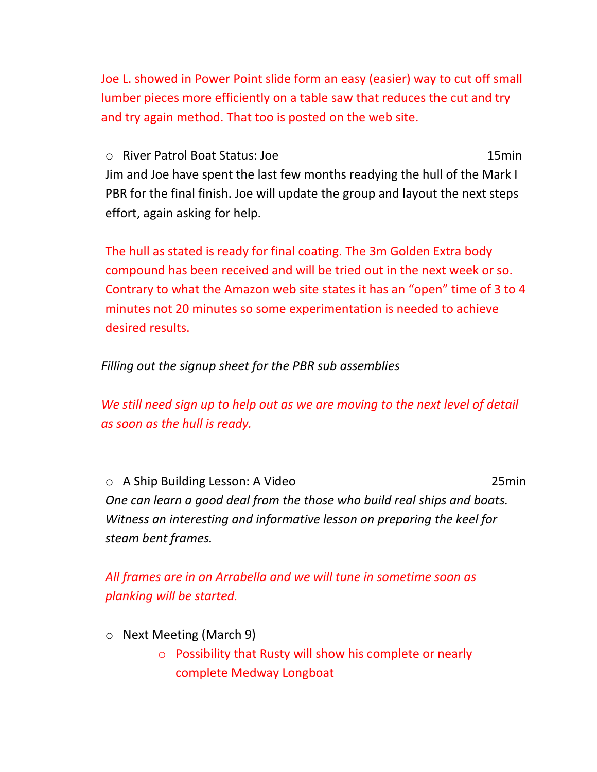Joe L. showed in Power Point slide form an easy (easier) way to cut off small lumber pieces more efficiently on a table saw that reduces the cut and try and try again method. That too is posted on the web site.

o River Patrol Boat Status: Joe 15min Jim and Joe have spent the last few months readying the hull of the Mark I PBR for the final finish. Joe will update the group and layout the next steps effort, again asking for help.

The hull as stated is ready for final coating. The 3m Golden Extra body compound has been received and will be tried out in the next week or so. Contrary to what the Amazon web site states it has an "open" time of 3 to 4 minutes not 20 minutes so some experimentation is needed to achieve desired results.

*Filling out the signup sheet for the PBR sub assemblies*

We still need sign up to help out as we are moving to the next level of detail *as soon as the hull is ready.*

o A Ship Building Lesson: A Video 25min *One can learn a good deal from the those who build real ships and boats. Witness an interesting and informative lesson on preparing the keel for steam bent frames.*

*All frames are in on Arrabella and we will tune in sometime soon as planking will be started.*

- o Next Meeting (March 9)
	- o Possibility that Rusty will show his complete or nearly complete Medway Longboat